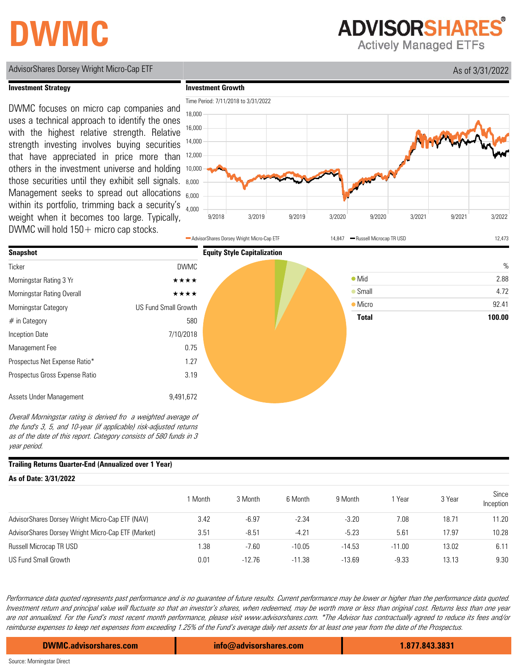## **DWMC**

**ADVISORSHARES** 

**Actively Managed ETFs** 

### AdvisorShares Dorsey Wright Micro-Cap ETF As of 3/31/2022

**Investment Growth**



#### **Investment Strategy**

DWMC focuses on micro cap companies and uses a technical approach to identify the ones with the highest relative strength. Relative strength investing involves buying securities that have appreciated in price more than others in the investment universe and holding those securities until they exhibit sell signals. Management seeks to spread out allocations within its portfolio, trimming back a security's weight when it becomes too large. Typically, DWMC will hold  $150+$  micro cap stocks.





Overall Morningstar rating is derived fro a weighted average of the fund's 3, 5, and 10-year (if applicable) risk-adjusted returns as of the date of this report. Category consists of 580 funds in 3 year period.

#### **Trailing Returns Quarter-End (Annualized over 1 Year)**

| As of Date: 3/31/2022 |          |          |          |          |        |                    |  |  |  |
|-----------------------|----------|----------|----------|----------|--------|--------------------|--|--|--|
| Month                 | 3 Month  | 6 Month  | 9 Month  | 1 Year   | 3 Year | Since<br>Inception |  |  |  |
| 3.42                  | $-6.97$  | $-2.34$  | $-3.20$  | 7.08     | 18.71  | 11.20              |  |  |  |
| 3.51                  | $-8.51$  | $-4.21$  | $-5.23$  | 5.61     | 17.97  | 10.28              |  |  |  |
| . 38                  | $-7.60$  | $-10.05$ | $-14.53$ | $-11.00$ | 13.02  | 6.11               |  |  |  |
| 0.01                  | $-12.76$ | $-11.38$ | $-13.69$ | $-9.33$  | 13.13  | 9.30               |  |  |  |
|                       |          |          |          |          |        |                    |  |  |  |

Performance data quoted represents past performance and is no guarantee of future results. Current performance may be lower or higher than the performance data quoted. Investment return and principal value will fluctuate so that an investor's shares, when redeemed, may be worth more or less than original cost. Returns less than one year are not annualized. For the Fund's most recent month performance, please visit www.advisorshares.com. \*The Advisor has contractually agreed to reduce its fees and/or reimburse expenses to keep net expenses from exceeding 1.25% of the Fund's average daily net assets for at least one year from the date of the Prospectus.

**DWMC.advisorshares.com info@advisorshares.com 1.877.843.3831**

Source: Morningstar Direct